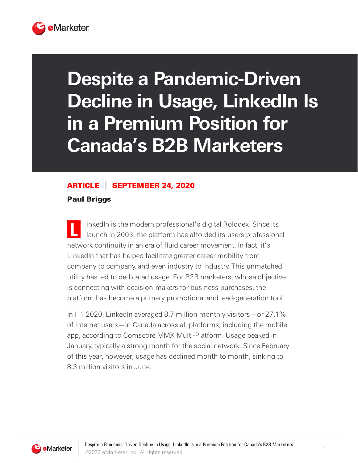

## **Despite a Pandemic-Driven Decline in Usage, LinkedIn Is in a Premium Position for Canada's B2B Marketers**

## ARTICLE SEPTEMBER 24, 2020

Paul Briggs

**L** inkedIn is the modern professional's digital Rolodex. Since its launch in 2003, the platform has afforded its users professional network continuity in an era of fluid career movement. In fact, it's LinkedIn that has helped facilitate greater career mobility from company to company, and even industry to industry. This unmatched utility has led to dedicated usage. For B2B marketers, whose objective is connecting with decision-makers for business purchases, the platform has become a primary promotional and lead-generation tool.

In H1 2020, LinkedIn averaged 8.7 million monthly visitors—or 27.1% of internet users—in Canada across all platforms, including the mobile app, according to Comscore MMX Multi-Platform. Usage peaked in January, typically a strong month for the social network. Since February of this year, however, usage has declined month to month, sinking to 8.3 million visitors in June.

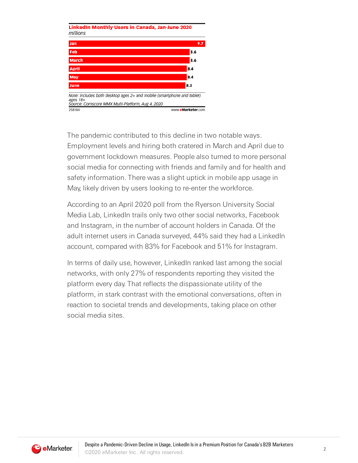

The pandemic contributed to this decline in two notable ways. Employment levels and hiring both cratered in March and April due to government lockdown measures. People also turned to more personal social media for connecting with friends and family and for health and safety information. There was a slight uptick in mobile app usage in May, likely driven by users looking to re-enter the workforce.

According to an April 2020 poll from the Ryerson University Social Media Lab, LinkedIn trails only two other social networks, Facebook and Instagram, in the number of account holders in Canada. Of the adult internet users in Canada surveyed, 44% said they had a LinkedIn account, compared with 83% for Facebook and 51% for Instagram.

In terms of daily use, however, LinkedIn ranked last among the social networks, with only 27% of respondents reporting they visited the platform every day. That reflects the dispassionate utility of the platform, in stark contrast with the emotional conversations, often in reaction to societal trends and developments, taking place on other social media sites.

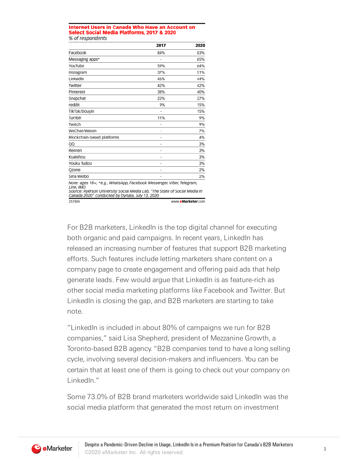## **Internet Users in Canada Who Have an Account on** Select Social Media Platforms, 2017 & 2020 % of respondents

|                                                                                                                                                                                                                     | 2017 | 2020              |
|---------------------------------------------------------------------------------------------------------------------------------------------------------------------------------------------------------------------|------|-------------------|
| Facebook                                                                                                                                                                                                            | 84%  | 83%               |
| Messaging apps*                                                                                                                                                                                                     | ٠    | 65%               |
| YouTube                                                                                                                                                                                                             | 59%  | 64%               |
| Instagram                                                                                                                                                                                                           | 37%  | 51%               |
| LinkedIn                                                                                                                                                                                                            | 46%  | 44%               |
| Twitter                                                                                                                                                                                                             | 42%  | 42%               |
| Pinterest                                                                                                                                                                                                           | 38%  | 40%               |
| Snapchat                                                                                                                                                                                                            | 22%  | 27%               |
| reddit                                                                                                                                                                                                              | 9%   | 15%               |
| TikTok/Douvin                                                                                                                                                                                                       | ۰    | 15%               |
| Tumblr                                                                                                                                                                                                              | 11%  | 9%                |
| Twitch                                                                                                                                                                                                              | -    | 9%                |
| WeChat/Weixin                                                                                                                                                                                                       | ٠    | 7%                |
| Blockchain-based platforms                                                                                                                                                                                          | ٠    | 4%                |
| QQ                                                                                                                                                                                                                  | ٠    | 3%                |
| Renren                                                                                                                                                                                                              | ٠    | 3%                |
| Kuaishou                                                                                                                                                                                                            | ٠    | 3%                |
| Youku Tudou                                                                                                                                                                                                         | ٠    | 3%                |
| Qzone                                                                                                                                                                                                               | ۰    | 2%                |
| Sina Weibo                                                                                                                                                                                                          | ٠    | 2%                |
| Note: ages 18+; *e.g., WhatsApp, Facebook Messenger, Viber, Telegram,<br>Line, IMO<br>Source: Ryerson University Social Media Lab, "The State of Social Media in<br>Canada 2020" conducted by Dynata, July 13, 2020 |      |                   |
| 257804                                                                                                                                                                                                              |      | www.eMarketer.com |

For B2B marketers, LinkedIn is the top digital channel for executing both organic and paid campaigns. In recent years, LinkedIn has released an increasing number of features that support B2B marketing efforts. Such features include letting marketers share content on a company page to create engagement and offering paid ads that help generate leads. Few would argue that LinkedIn is as feature-rich as other social media marketing platforms like Facebook and Twitter. But LinkedIn is closing the gap, and B2B marketers are starting to take note.

"LinkedIn is included in about 80% of campaigns we run for B2B companies," said Lisa Shepherd, president of Mezzanine Growth, a Toronto-based B2B agency. "B2B companies tend to have a long selling cycle, involving several decision-makers and influencers. You can be certain that at least one of them is going to check out your company on LinkedIn."

Some 73.0% of B2B brand marketers worldwide said LinkedIn was the social media platform that generated the most return on investment